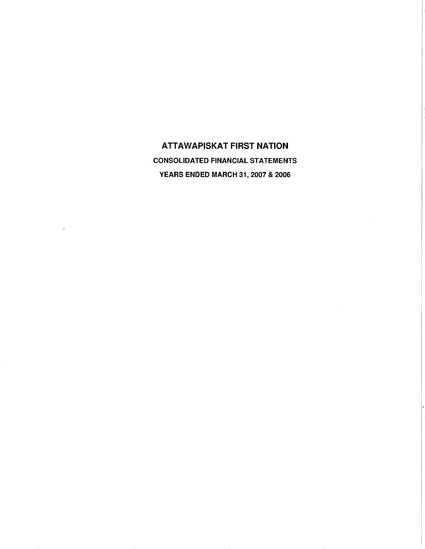ATTAWAPISKAT FIRST NATION CONSOLIDATED FINANCIAL STATEMENTS YEARS ENDED MARCH 31, 2007 & 2006

 $\ddot{\phantom{a}}$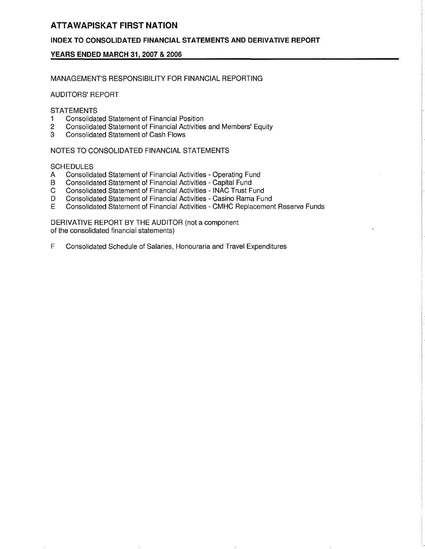# INDEX TO CONSOLIDATED FINANCIAL STATEMENTS AND DERIVATIVE REPORT

# YEARS ENDED MARCH 31, 2007 & 2006

MANAGEMENT'S RESPONSIBILITY FOR FINANCIAL REPORTING

AUDITORS' REPORT

### **STATEMENTS**

- 1 Consolidated Statement of Financial Position<br>2 Consolidated Statement of Financial Activities
- 2 Consolidated Statement of Financial Activities and Members' Equity<br>3 Consolidated Statement of Cash Flows
- 3 Consolidated Statement of Cash Flows

NOTES TO CONSOLIDATED FINANCIAL STATEMENTS

### **SCHEDULES**

- A Consolidated Statement of Financial Activities Operating Fund
- B Consolidated Statement of Financial Activities Capital Fund<br>C Consolidated Statement of Financial Activities INAC Trust F
- C Consolidated Statement of Financial Activities INAC Trust Fund<br>D Consolidated Statement of Financial Activities Casino Rama Fur
- D Consolidated Statement of Financial Activities Casino Rama Fund<br>E Consolidated Statement of Financial Activities CMHC Replacemen
- E Consolidated Statement of Financial Activities CMHC Replacement Reserve Funds

DERIVATIVE REPORT BY THE AUDITOR (not a component of the consolidated financial statements)

F Consolidated Schedule of Salaries, Honouraria and Travel Expenditures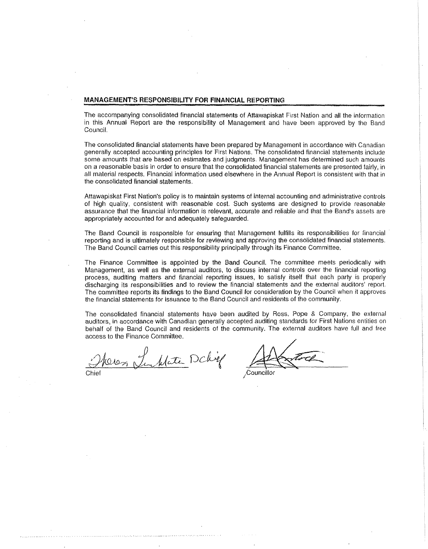#### MANAGEMENT'S RESPONSIBILITY FOR FINANCIAL REPORTING

The accompanying consolidated financial statements of Attawapiskat First Nation and all the information in this Annual Report are the responsibility of Management and have been approved by the Band Council.

The consolidated financial statements have been prepared by Management in accordance with Canadian generally accepted accounting principles for First Nations. The consolidated financial statements include some amounts that are based on estimates and judgments. Management has determined such amounts on a reasonable basis in order to ensure that the consolidated financial statements are presented (airly, in all material respects. Financial information used elsewhere in the Annual Report is consistent with that in the consolidated financial statements.

Attawapiskat First Nation's policy is to maintain systems of internal accounting and administrative controls of high quality, consistent with reasonable cost. Such systems are designed to provide reasonable assurance that the financial information is relevant, accurate and reliable and that the Band's assets are appropriately accounted for and adequately safeguarded.

The Band Council is responsible for ensuring that Management fulfills its responsibilities for financial reporting and is ultimately responsible for reviewing and approving the consolidated financial statements. The Band Council carries out this responsibility principally through its Finance Committee.

The Finance Committee is appointed by the Band Council. The committee meets periodically with Management, as well as the external auditors, to discuss internal controls over the financial reporting process, auditing matters and financial reporting issues, to satisfy itself that each party is properly discharging its responsibilities and to review the financial statements and the external auditors' report. The committee reports its findings to the Band Council for consideration by the Council when it approves the financial statements for issuance to the Band Council and residents of the community,

The consolidated financial statements have been audited by Ross, Pope & Company, tho external auditors, in accordance with Canadian generally accepted auditing standards for First Nations entities on behalf of the Band Council and residents of the community. The external auditors have full and free access to the Finance Committee.

Oros Tenklate Dchif

<u>.</u><br>Linna a compare e e el seu ser el server de l'altres el server e l'est

.Councillor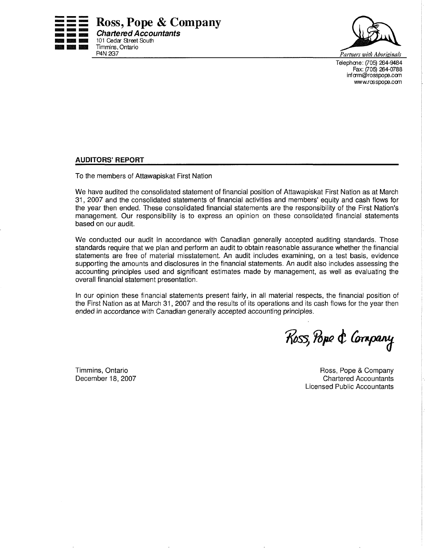



Telephone: (705) 264-9484 Fax: (705) 264-0788 infcrm@rosspope.com www.rosspope.com

### AUDITORS' REPORT

To the members of Attawapiskat First Nation

We have audited the consolidated statement of financial position of Attawapiskat First Nation as at March 31, 2007 and the consolidated statements of financial activities and members' equity and cash flows for the year then ended. These consolidated financial statements are the responsibility of the First Nation's management. Our responsibility is to express an opinion on these consolidated financial statements based on our audit.

We conducted our audit in accordance with Canadian generally accepted auditing standards. Those standards require that we plan and perform an audit to obtain reasonable assurance whether the financial statements are free of material misstatement. An audit includes examining, on a test basis, evidence supporting the amounts and disclosures in the financial statements. An audit also includes assessing the accounting principles used and significant estimates made by management, as well as evaluating the overall financial statement presentation.

In our opinion these financial statements present fairly, in all material respects, the financial position of the First Nation as at March 31, 2007 and the results of its operations and its cash flows for the year then ended in accordance with Canadian generally accepted accounting principles.

Ross, Pope & Company

Timmins, Ontario December 18,2007

Ross, Pope & Company Chartered Accountants Licensed Public Accountants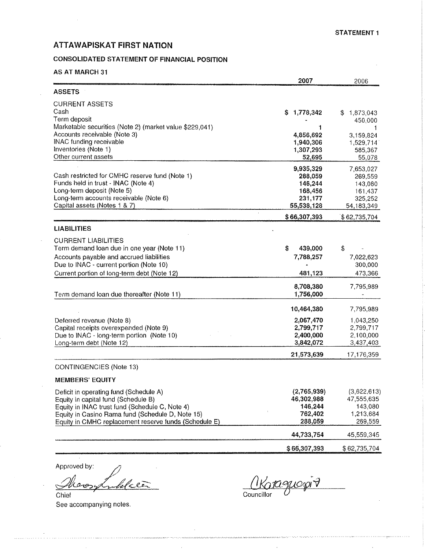# CONSOLIDATED STATEMENT OF FINANCIAL POSITION

# AS AT MARCH 31

|                                                                      | 2007                   | 2006                  |
|----------------------------------------------------------------------|------------------------|-----------------------|
| <b>ASSETS</b>                                                        |                        |                       |
| <b>CURRENT ASSETS</b><br>Cash                                        | 1,778,342<br>S.        | S<br>1,873,043        |
| Term deposit                                                         |                        | 450,000               |
| Marketable securities (Note 2) (market value \$229,041)              | 1                      |                       |
| Accounts receivable (Note 3)<br>INAC funding receivable              | 4,856,692<br>1,940,306 | 3,159,824             |
| Inventories (Note 1)                                                 | 1,307,293              | 1,529,714<br>585,367  |
| Other current assets                                                 | 52,695                 | 55,078                |
|                                                                      | 9,935,329              | 7,653,027             |
| Cash restricted for CMHC reserve fund (Note 1)                       | 288,059                | 269,559               |
| Funds held in trust - INAC (Note 4)                                  | 146,244                | 143,080               |
| Long-term deposit (Note 5)<br>Long-term accounts receivable (Note 6) | 168,456                | 161,437               |
| Capital assets (Notes 1 & 7)                                         | 231,177<br>55,538,128  | 325,252<br>54,183,349 |
|                                                                      | \$66,307,393           | \$62,735,704          |
| <b>LIABILITIES</b>                                                   |                        |                       |
| <b>CURRENT LIABILITIES</b>                                           |                        |                       |
| Term demand loan due in one year (Note 11)                           | \$<br>439,000          | \$                    |
| Accounts payable and accrued liabilities                             | 7,788,257              | 7,022,623             |
| Due to INAC - current portion (Note 10)                              |                        | 300,000               |
| Current portion of long-term debt (Note 12)                          | 481,123                | 473,366               |
|                                                                      | 8,708,380              | 7,795,989             |
| Term demand loan due thereafter (Note 11)                            | 1,756,000              |                       |
|                                                                      | 10,464,380             | 7,795,989             |
| Deferred revenue (Note 8)                                            | 2,067,470              | 1,043,250             |
| Capital receipts overexpended (Note 9)                               | 2,799,717              | 2,799,717             |
| Due to INAC - long-term portion (Note 10)                            | 2,400,000              | 2,100,000             |
| Long-term debt (Note 12)                                             | 3,842,072              | 3,437,403             |
|                                                                      | 21,573,639             | 17,176,359            |
| CONTINGENCIES (Note 13)                                              |                        |                       |
| <b>MEMBERS' EQUITY</b>                                               |                        |                       |
| Deficit in operating fund (Schedule A)                               | (2,765,939)            | (3,622,613)           |
| Equity in capital fund (Schedule B)                                  | 46,302,988             | 47,555,635            |
| Equity in INAC trust fund (Schedule C, Note 4)                       | 146,244                | 143,080               |
| Equity in Casino Rama fund (Schedule D, Note 15)                     | 762,402                | 1,213,684             |
| Equity in CMHC replacement reserve funds (Schedule E)                | 288,059                | 269,559               |
|                                                                      | 44,733,754             | 45,559,345            |
|                                                                      | \$66,307,393           | \$62,735,704          |

Approved by:

 $\mathcal{L}_{\mathcal{L}}$ Chief See accompanying notes.

.<br>La característica de la característica de la característica de la característica de la característica de la ca

l<br>Andreamain Air San Farance (1970)

akaguespir Councillor U

المتحدة والمتحدث والمتحدث والمتعاون والمتحدث والمتحدث والمتحدث والمتحدث والمتحدث والمراكب والمتحدث والمتحدث والمتحدث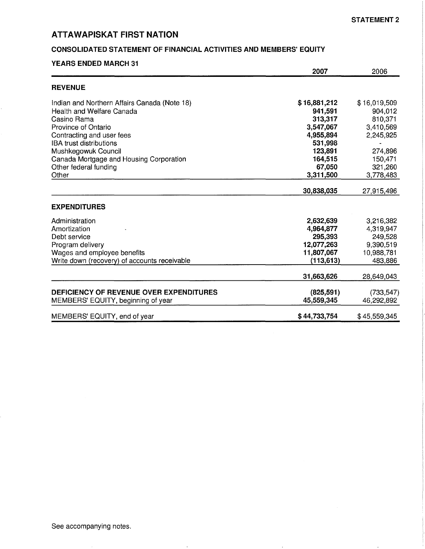# CONSOLIDATED STATEMENT OF FINANCIAL ACTIVITIES AND MEMBERS' EQUITY

| <b>YEARS ENDED MARCH 31</b>                  | 2007         | 2006         |
|----------------------------------------------|--------------|--------------|
| <b>REVENUE</b>                               |              |              |
| Indian and Northern Affairs Canada (Note 18) | \$16,881,212 | \$16,019,509 |
| Health and Welfare Canada                    | 941,591      | 904,012      |
| Casino Rama                                  | 313,317      | 810,371      |
| Province of Ontario                          | 3,547,067    | 3,410,569    |
| Contracting and user fees                    | 4,955,894    | 2,245,925    |
| <b>IBA trust distributions</b>               | 531,998      |              |
| Mushkegowuk Council                          | 123,891      | 274,896      |
| Canada Mortgage and Housing Corporation      | 164,515      | 150,471      |
| Other federal funding                        | 67,050       | 321,260      |
| Other                                        | 3,311,500    | 3,778,483    |
|                                              | 30,838,035   | 27,915,496   |
| <b>EXPENDITURES</b>                          |              |              |
| Administration                               | 2,632,639    | 3,216,382    |
| Amortization                                 | 4,964,877    | 4,319,947    |
| Debt service                                 | 295,393      | 249,528      |
| Program delivery                             | 12,077,263   | 9,390,519    |
| Wages and employee benefits                  | 11,807,067   | 10,988,781   |
| Write down (recovery) of accounts receivable | (113, 613)   | 483,886      |
|                                              | 31,663,626   | 28,649,043   |
| DEFICIENCY OF REVENUE OVER EXPENDITURES      | (825, 591)   | (733, 547)   |
| MEMBERS' EQUITY, beginning of year           | 45,559,345   | 46,292,892   |
| MEMBERS' EQUITY, end of year                 | \$44,733,754 | \$45,559,345 |

 $\sim$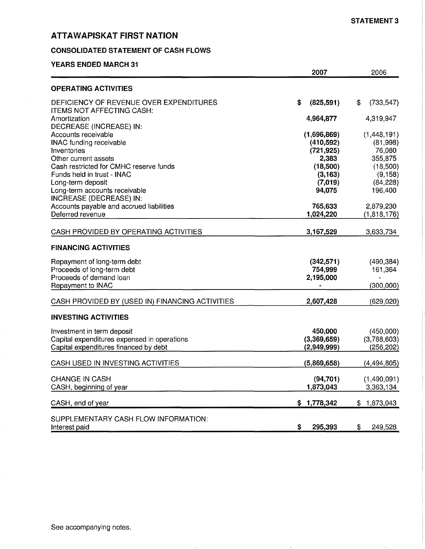## CONSOLIDATED STATEMENT OF CASH FLOWS

### YEARS ENDED MARCH 31

 $\mathcal{L}$ 

|                                                                                                                                                                                                                                                                                                                                     | 2007                                                                                                    | 2006                                                                                                      |
|-------------------------------------------------------------------------------------------------------------------------------------------------------------------------------------------------------------------------------------------------------------------------------------------------------------------------------------|---------------------------------------------------------------------------------------------------------|-----------------------------------------------------------------------------------------------------------|
| <b>OPERATING ACTIVITIES</b>                                                                                                                                                                                                                                                                                                         |                                                                                                         |                                                                                                           |
| DEFICIENCY OF REVENUE OVER EXPENDITURES<br>ITEMS NOT AFFECTING CASH:<br>Amortization                                                                                                                                                                                                                                                | \$<br>(825, 591)<br>4,964,877                                                                           | \$<br>(733, 547)<br>4,319,947                                                                             |
| DECREASE (INCREASE) IN:<br>Accounts receivable<br><b>INAC funding receivable</b><br>Inventories<br>Other current assets<br>Cash restricted for CMHC reserve funds<br>Funds held in trust - INAC<br>Long-term deposit<br>Long-term accounts receivable<br><b>INCREASE (DECREASE) IN:</b><br>Accounts payable and accrued liabilities | (1,696,869)<br>(410,592)<br>(721, 925)<br>2,383<br>(18,500)<br>(3, 163)<br>(7,019)<br>94,075<br>765,633 | (1,448,191)<br>(81,998)<br>76,080<br>355,875<br>(18,500)<br>(9, 158)<br>(84, 228)<br>196,400<br>2,879,230 |
| Deferred revenue                                                                                                                                                                                                                                                                                                                    | 1,024,220                                                                                               | (1,818,176)                                                                                               |
| CASH PROVIDED BY OPERATING ACTIVITIES                                                                                                                                                                                                                                                                                               | 3,167,529                                                                                               | 3,633,734                                                                                                 |
| <b>FINANCING ACTIVITIES</b>                                                                                                                                                                                                                                                                                                         |                                                                                                         |                                                                                                           |
| Repayment of long-term debt<br>Proceeds of long-term debt<br>Proceeds of demand loan<br>Repayment to INAC                                                                                                                                                                                                                           | (342, 571)<br>754,999<br>2,195,000                                                                      | (490, 384)<br>161,364<br>(300,000)                                                                        |
| CASH PROVIDED BY (USED IN) FINANCING ACTIVITIES                                                                                                                                                                                                                                                                                     | 2,607,428                                                                                               | (629, 020)                                                                                                |
| <b>INVESTING ACTIVITIES</b>                                                                                                                                                                                                                                                                                                         |                                                                                                         |                                                                                                           |
| Investment in term deposit<br>Capital expenditures expensed in operations<br>Capital expenditures financed by debt                                                                                                                                                                                                                  | 450,000<br>(3,369,659)<br>(2,949,999)                                                                   | (450,000)<br>(3,788,603)<br>(256, 202)                                                                    |
| CASH USED IN INVESTING ACTIVITIES                                                                                                                                                                                                                                                                                                   | (5,869,658)                                                                                             | (4, 494, 805)                                                                                             |
| <b>CHANGE IN CASH</b><br>CASH, beginning of year                                                                                                                                                                                                                                                                                    | (94, 701)<br>1,873,043                                                                                  | (1,490,091)<br>3,363,134                                                                                  |
| CASH, end of year                                                                                                                                                                                                                                                                                                                   | \$1,778,342                                                                                             | \$1,873,043                                                                                               |
| SUPPLEMENTARY CASH FLOW INFORMATION:<br>Interest paid                                                                                                                                                                                                                                                                               | \$<br>295,393                                                                                           | \$<br>249,528                                                                                             |

 $\alpha$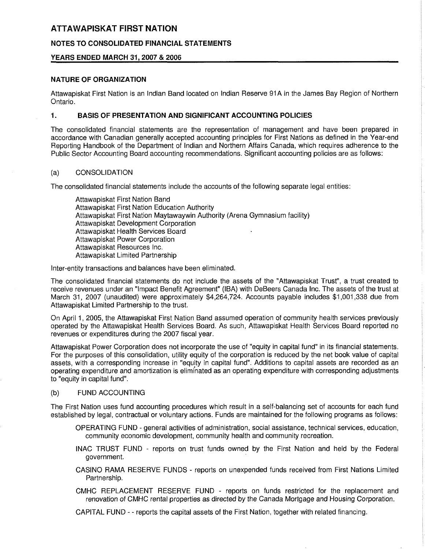# NOTES TO CONSOLIDATED FINANCIAL STATEMENTS

### YEARS ENDED MARCH 31, 2007 & 2006

### NATURE OF ORGANIZATION

Attawapiskat First Nation is an Indian Band located on Indian Reserve 91 A in the James Bay Region of Northern Ontario.

### 1. BASIS OF PRESENTATION AND SIGNIFICANT ACCOUNTING POLICIES

The consolidated financial statements are the representation of management and have been prepared in accordance with Canadian generally accepted accounting principles for First Nations as defined in the Year-end Reporting Handbook of the Department of Indian and Northern Affairs Canada, which requires adherence to the Public Sector Accounting Board accounting recommendations. Significant accounting policies are as follows:

### (a) CONSOLIDATION

The consolidated financial statements include the accounts of the following separate legal entities:

Attawapiskat First Nation Band Attawapiskat First Nation Education Authority Attawapiskat First Nation Maytawaywin Authority (Arena Gymnasium facility) Attawapiskat Development Corporation Attawapiskat Health Services Board Attawapiskat Power Corporation Attawapiskat Resources Inc. Attawapiskat Limited Partnership

Inter-entity transactions and balances have been eliminated.

The consolidated financial statements do not include the assets of the "Attawapiskat Trust", a trust created to receive revenues under an "Impact Benefit Agreement" (IBA) with DeBeers Canada Inc. The assets of the trust at March 31, 2007 (unaudited) were approximately \$4,264,724. Accounts payable includes \$1,001,338 due from Attawapiskat Limited Partnership to the trust.

On April 1, 2005, the Attawapiskat First Nation Band assumed operation of community health services previously operated by the Attawapiskat Health Services Board. As such, Attawapiskat Health Services Board reported no revenues or expenditures during the 2007 fiscal year.

Attawapiskat Power Corporation does not incorporate the use of "equity in capital fund" in its financial statements. For the purposes of this consolidation, utility equity of the corporation is reduced by the net book value of capital assets, with a corresponding increase in "equity in capital fund". Additions to capital assets are recorded as an operating expenditure and amortization is eliminated as an operating expenditure with corresponding adjustments to "equity in capital fund".

# (b) FUND ACCOUNTING

The First Nation uses fund accounting procedures which result in a self-balancing set of accounts for each fund established by legal, contractual or voluntary actions. Funds are maintained for the following programs as follows:

- OPERATING FUND general activities of administration, social assistance, technical services, education, community economic development, community health and community recreation.
- INAC TRUST FUND reports on trust funds owned by the First Nation and held by the Federal government.
- CASINO RAMA RESERVE FUNDS reports on unexpended funds received from First Nations Limited Partnership.
- CMHC REPLACEMENT RESERVE FUND reports on funds restricted for the replacement and renovation of CMHC rental properties as directed by the Canada Mortgage and Housing Corporation.

CAPITAL FUND - - reports the capital assets of the First Nation, together with related financing.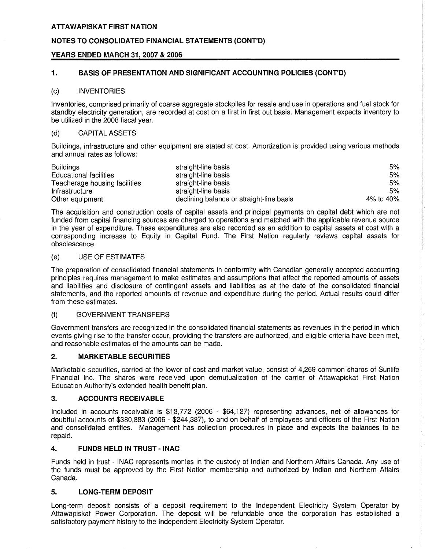### NOTES TO CONSOLIDATED FINANCIAL STATEMENTS (CONT'D)

### YEARS ENDED MARCH 31, 2007 & 2006

### 1. BASIS OF PRESENTATION AND SIGNIFICANT ACCOUNTING POLICIES (CONT'D)

#### (c) INVENTORIES

Inventories, comprised primarily of coarse aggregate stockpiles for resale and use in operations and fuel stock for standby electricity generation, are recorded at cost on a first in first out basis. Management expects inventory to be utilized in the 2008 fiscal year.

#### (d) CAPITAL ASSETS

Buildings, infrastructure and other equipment are stated at cost. Amortization is provided using various methods and annual rates as follows:

| <b>Buildings</b>              | straight-line basis                      | 5%        |
|-------------------------------|------------------------------------------|-----------|
| Educational facilities        | straight-line basis                      | 5%        |
| Teacherage housing facilities | straight-line basis                      | 5%        |
| Infrastructure                | straight-line basis                      | 5%        |
| Other equipment               | declining balance or straight-line basis | 4% to 40% |

The acquisition and construction costs of capital assets and principal payments on capital debt which are not funded from capital financing sources are charged to operations and matched with the applicable revenue source in the year of expenditure. These expenditures are also recorded as an addition to capital assets at cost with a corresponding increase to Equity in Capital Fund. The First Nation regularly reviews capital assets for obsolescence.

#### (e) USE OF ESTIMATES

The preparation of consolidated financial statements in conformity with Canadian generally accepted accounting principles requires management to make estimates and assumptions that affect the reported amounts of assets and liabilities and disclosure of contingent assets and liabilities as at the date of the consolidated financial statements, and the reported amounts of revenue and expenditure during the period. Actual results could differ from these estimates.

#### (f) GOVERNMENT TRANSFERS

Government transfers are recognized in the consolidated financial statements as revenues in the period in which events giving rise to the transfer occur, providing the transfers are authorized, and eligible criteria have been met, and reasonable estimates of the amounts can be made.

### 2. MARKETABLE SECURITIES

Marketable securities, carried at the lower of cost and market value, consist of 4,269 common shares of Sunlife Financial Inc. The shares were received upon demutualization of the carrier of Attawapiskat First Nation Education Authority's extended health benefit plan.

#### 3. ACCOUNTS RECEIVABLE

Included in accounts receivable is \$13,772 (2006 - \$64,127) representing advances, net of allowances for doubtful accounts of \$380,883 (2006 - \$244,387), to and on behalf of employees and officers of the First Nation and consolidated entities. Management has collection procedures in place and expects the balances to be repaid.

#### 4. FUNDS HELD IN TRUST - INAC

Funds held in trust - INAC represents monies in the custody of Indian and Northern Affairs Canada. Any use of the funds must be approved by the First Nation membership and authorized by Indian and Northern Affairs Canada.

#### 5. LONG-TERM DEPOSIT

Long-term deposit consists of a deposit requirement to the Independent Electricity System Operator by Attawapiskat Power Corporation. The deposit will be refundable once the corporation has established a satisfactory payment history to the Independent Electricity System Operator.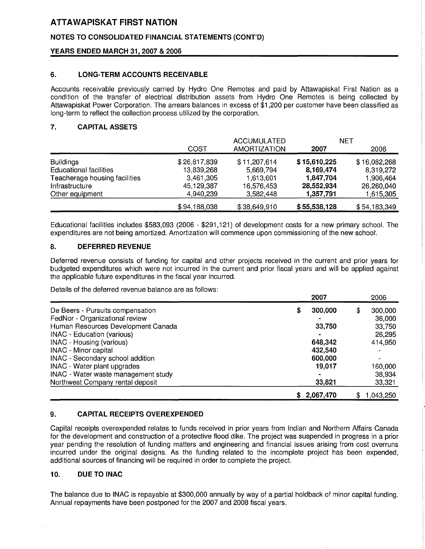# NOTES TO CONSOLIDATED FINANCIAL STATEMENTS (CONT'D)

## YEARS ENDED MARCH 31, 2007 & 2006

## 6. LONG-TERM ACCOUNTS RECEIVABLE

Accounts receivable previously carried by Hydro One Remotes and paid by Attawapiskat First Nation as a condition of the transfer of electrical distribution assets from Hydro One Remotes is being collected by Attawapiskat Power Corporation. The arrears balances in excess of \$1,200 per customer have been classified as long-term to reflect the collection process utilized by the corporation.

## 7. CAPITAL ASSETS

|                               |              | <b>ACCUMULATED</b>  |              | <b>NET</b>   |
|-------------------------------|--------------|---------------------|--------------|--------------|
|                               | COST         | <b>AMORTIZATION</b> | 2007         | 2006         |
| <b>Buildings</b>              | \$26,817,839 | \$11,207,614        | \$15,610,225 | \$16,082,268 |
| <b>Educational facilities</b> | 13,839,268   | 5,669,794           | 8,169,474    | 8,319,272    |
| Teacherage housing facilities | 3,461,305    | 1,613,601           | 1,847,704    | 1,906,464    |
| Infrastructure                | 45,129,387   | 16,576,453          | 28,552,934   | 26,260,040   |
| Other equipment               | 4,940,239    | 3,582,448           | 1,357,791    | 1,615,305    |
|                               | \$94,188,038 | \$38,649,910        | \$55,538,128 | \$54,183,349 |

Educational facilities includes \$583,093 (2006 - \$291,121) of development costs for a new primary school. The expenditures are not being amortized. Amortization will commence upon commissioning of the new school'.

### 8. DEFERRED REVENUE

Deferred revenue consists of funding for capital and other projects received in the current and prior years for budgeted expenditures which were not incurred in the current and prior fiscal years and will be applied against the applicable future expenditures in the fiscal year incurred.

Details of the deferred revenue balance are as follows:

|                                         | 2007      |         | 2006                     |
|-----------------------------------------|-----------|---------|--------------------------|
| De Beers - Pursuits compensation        |           | 300,000 | 300,000<br>\$            |
| FedNor - Organizational review          |           |         | 36,000                   |
| Human Resources Development Canada      |           | 33,750  | 33,750                   |
| <b>INAC - Education (various)</b>       |           |         | 26,295                   |
| INAC - Housing (various)                |           | 648,342 | 414,950                  |
| <b>INAC</b> - Minor capital             |           | 432,540 |                          |
| <b>INAC</b> - Secondary school addition |           | 600,000 | $\overline{\phantom{a}}$ |
| INAC - Water plant upgrades             |           | 19.017  | 160,000                  |
| INAC - Water waste management study     |           |         | 38,934                   |
| Northwest Company rental deposit        |           | 33,821  | 33,321                   |
|                                         | 2,067,470 |         | 1,043,250                |

#### 9. CAPITAL RECEIPTS OVEREXPENDED

Capital receipts overexpended relates to funds received in prior years from Indian and Northern Affairs Canada for the development and construction of a protective flood dike. The project was suspended in progress in a prior year pending the resolution of funding matters and engineering and financial issues arising from cost overruns incurred under the original designs. As the funding related to the incomplete project has been expended, additional sources of financing will be required in order to complete the project.

### 10. DUE TO INAC

The balance due to INAC is repayable at \$300,000 annually by way of a partial holdback of minor capital funding. Annual repayments have been postponed for the 2007 and 2008 fiscal years.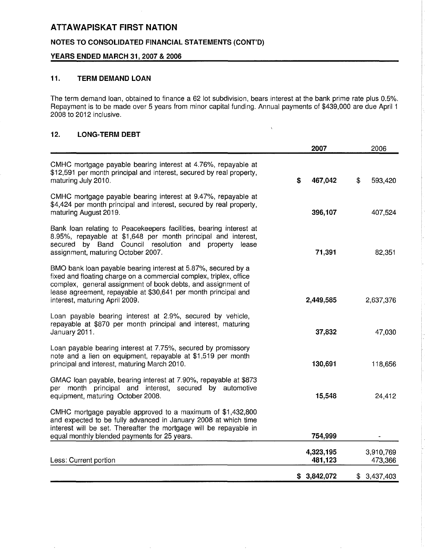# NOTES TO CONSOLIDATED FINANCIAL STATEMENTS (CONT'D)

### YEARS ENDED MARCH 31, 2007 & 2006

# 11. TERM DEMAND LOAN

The term demand loan, obtained to finance a 62 lot subdivision, bears interest at the bank prime rate plus 0.5%. Repayment is to be made over 5 years from minor capital funding. Annual payments of \$439,000 are due April 1 2008 to 2012 inclusive.

 $\bar{V}$ 

# 12. LONG-TERM DEBT

|                                                                                                                                                                                                                                                                                                         | 2007                 | 2006                 |
|---------------------------------------------------------------------------------------------------------------------------------------------------------------------------------------------------------------------------------------------------------------------------------------------------------|----------------------|----------------------|
| CMHC mortgage payable bearing interest at 4.76%, repayable at<br>\$12,591 per month principal and interest, secured by real property,<br>maturing July 2010.                                                                                                                                            | 467,042<br>\$        | \$<br>593,420        |
| CMHC mortgage payable bearing interest at 9.47%, repayable at<br>\$4,424 per month principal and interest, secured by real property,<br>maturing August 2019.                                                                                                                                           | 396,107              | 407,524              |
| Bank loan relating to Peacekeepers facilities, bearing interest at<br>8.95%, repayable at \$1,648 per month principal and interest,<br>secured by Band Council resolution and property lease<br>assignment, maturing October 2007.                                                                      | 71,391               | 82,351               |
| BMO bank loan payable bearing interest at 5.87%, secured by a<br>fixed and floating charge on a commercial complex, triplex, office<br>complex, general assignment of book debts, and assignment of<br>lease agreement, repayable at \$30,641 per month principal and<br>interest, maturing April 2009. | 2,449,585            | 2,637,376            |
| Loan payable bearing interest at 2.9%, secured by vehicle,<br>repayable at \$870 per month principal and interest, maturing<br>January 2011.                                                                                                                                                            | 37,832               | 47,030               |
| Loan payable bearing interest at 7.75%, secured by promissory<br>note and a lien on equipment, repayable at \$1,519 per month<br>principal and interest, maturing March 2010.                                                                                                                           | 130,691              | 118,656              |
| GMAC loan payable, bearing interest at 7.90%, repayable at \$873<br>per month principal and interest, secured by automotive<br>equipment, maturing October 2008.                                                                                                                                        | 15,548               | 24,412               |
| CMHC mortgage payable approved to a maximum of \$1,432,800<br>and expected to be fully advanced in January 2008 at which time<br>interest will be set. Thereafter the mortgage will be repayable in<br>equal monthly blended payments for 25 years.                                                     | 754,999              |                      |
| Less: Current portion                                                                                                                                                                                                                                                                                   | 4,323,195<br>481,123 | 3,910,769<br>473,366 |
|                                                                                                                                                                                                                                                                                                         | 3,842,072<br>S       | 3,437,403<br>\$      |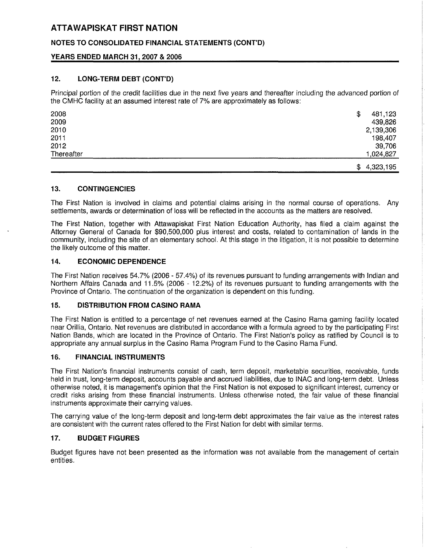# NOTES TO CONSOLIDATED FINANCIAL STATEMENTS (CONT'D)

# YEARS ENDED MARCH 31, 2007 & 2006

# 12. LONG-TERM DEBT (CONT'D)

Principal portion of the credit facilities due in the next five years and thereafter including the advanced portion of the CMHC facility at an assumed interest rate of 7% are approximately as follows:

| 2008       | \$<br>481,123   |
|------------|-----------------|
| 2009       | 439,826         |
| 2010       | 2,139,306       |
| 2011       | 198,407         |
| 2012       | 39,706          |
| Thereafter | 1,024,827       |
|            | 4,323,195<br>\$ |

### 13. CONTINGENCIES

The First Nation is involved in claims and potential claims arising in the normal course of operations. Any settlements, awards or determination of loss will be reflected in the accounts as the matters are resolved.

The First Nation, together with Attawapiskat First Nation Education Authority, has filed a claim against the Attorney General of Canada for \$90,500,000 plus interest and costs, related to contamination of lands in the community, including the site of an elementary school. At this stage in the litigation, it is not possible to determine the likely outcome of this matter.

# 14. ECONOMIC DEPENDENCE

The First Nation receives 54.7% (2006 - 57.4%) of its revenues pursuant to funding arrangements with Indian and Northern Affairs Canada and 11.5% (2006 - 12.2%) of its revenues pursuant to funding arrangements with the Province of Ontario. The continuation of the organization is dependent on this funding.

# 15. DISTRIBUTION FROM CASINO RAMA

The First Nation is entitled to a percentage of net revenues earned at the Casino Rama gaming facility located near Orillia, Ontario. Net revenues are distributed in accordance with a formula agreed to by the participating First Nation Bands, which are located in the Province of Ontario. The First Nation's policy as ratified by Council is to appropriate any annual surplus in the Casino Rama Program Fund to the Casino Rama Fund.

#### 16. FINANCIAL INSTRUMENTS

The First Nation's financial instruments consist of cash, term deposit, marketable securities, receivable, funds held in trust, long-term deposit, accounts payable and accrued liabilities, due to INAC and long-term debt. Unless otherwise noted, it is management's opinion that the First Nation is not exposed to significant interest, currency or credit risks arising from these financial instruments. Unless otherwise noted, the fair value of these financial instruments approximate their carrying values.

The carrying value of the long-term deposit and long-term debt approximates the fair value as the interest rates are consistent with the current rates offered to the First Nation for debt with similar terms.

# 17. BUDGET FIGURES

Budget figures have not been presented as the information was not available from the management of certain entities.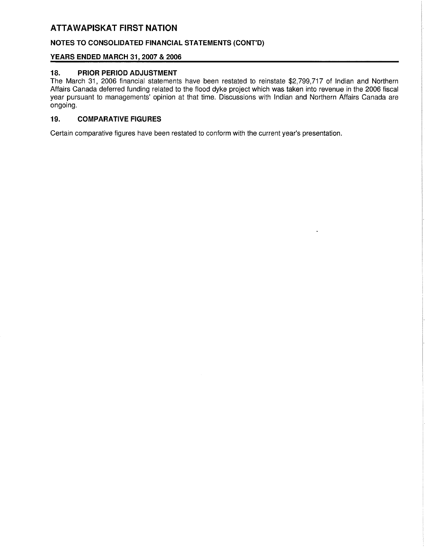# NOTES TO CONSOLIDATED FINANCIAL STATEMENTS (CONT'D)

# YEARS ENDED MARCH 31, 2007 & 2006

# 18. PRIOR PERIOD ADJUSTMENT

The March 31, 2006 financial statements have been restated to reinstate \$2,799,717 of Indian and Northern Affairs Canada deferred funding related to the flood dyke project which was taken into revenue in the 2006 fiscal year pursuant to managements' opinion at that time. Discussions with Indian and Northern Affairs Canada are ongoing.

# 19. COMPARATIVE FIGURES

Certain comparative figures have been restated to conform with the current year's presentation.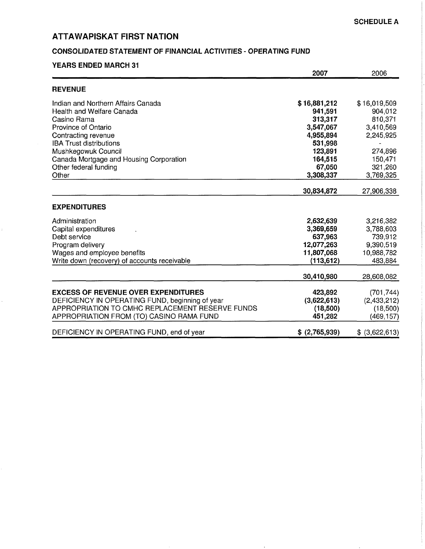# CONSOLIDATED STATEMENT OF FINANCIAL ACTIVITIES - OPERATING FUND

## YEARS ENDED MARCH 31

|                                                 | 2007           | 2006           |
|-------------------------------------------------|----------------|----------------|
| <b>REVENUE</b>                                  |                |                |
| Indian and Northern Affairs Canada              | \$16,881,212   | \$16,019,509   |
| Health and Welfare Canada                       | 941,591        | 904,012        |
| Casino Rama                                     | 313,317        | 810,371        |
| Province of Ontario                             | 3,547,067      | 3,410,569      |
| Contracting revenue                             | 4,955,894      | 2,245,925      |
| <b>IBA Trust distributions</b>                  | 531,998        |                |
| Mushkegowuk Council                             | 123,891        | 274,896        |
| Canada Mortgage and Housing Corporation         | 164,515        | 150,471        |
| Other federal funding                           | 67,050         | 321,260        |
| Other                                           | 3,308,337      | 3,769,325      |
|                                                 | 30,834,872     | 27,906,338     |
| <b>EXPENDITURES</b>                             |                |                |
| Administration                                  | 2,632,639      | 3,216,382      |
| Capital expenditures                            | 3,369,659      | 3,788,603      |
| Debt service                                    | 637,963        | 739,912        |
| Program delivery                                | 12,077,263     | 9,390,519      |
| Wages and employee benefits                     | 11,807,068     | 10,988,782     |
| Write down (recovery) of accounts receivable    | (113, 612)     | 483,884        |
|                                                 | 30,410,980     | 28,608,082     |
| <b>EXCESS OF REVENUE OVER EXPENDITURES</b>      | 423,892        | (701, 744)     |
| DEFICIENCY IN OPERATING FUND, beginning of year | (3,622,613)    | (2,433,212)    |
| APPROPRIATION TO CMHC REPLACEMENT RESERVE FUNDS | (18,500)       | (18,500)       |
| APPROPRIATION FROM (TO) CASINO RAMA FUND        | 451,282        | (469, 157)     |
| DEFICIENCY IN OPERATING FUND, end of year       | \$ (2,765,939) | \$ (3,622,613) |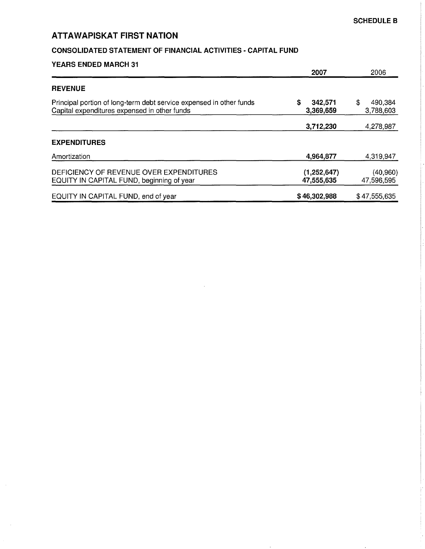# CONSOLIDATED STATEMENT OF FINANCIAL ACTIVITIES - CAPITAL FUND

|  | <b>YEARS ENDED MARCH 31</b> |  |
|--|-----------------------------|--|
|  |                             |  |

|                                                                                                                     | 2007                        | 2006                       |
|---------------------------------------------------------------------------------------------------------------------|-----------------------------|----------------------------|
| <b>REVENUE</b>                                                                                                      |                             |                            |
| Principal portion of long-term debt service expensed in other funds<br>Capital expenditures expensed in other funds | S<br>342,571<br>3,369,659   | \$<br>490,384<br>3,788,603 |
|                                                                                                                     | 3,712,230                   | 4,278,987                  |
| <b>EXPENDITURES</b>                                                                                                 |                             |                            |
| Amortization                                                                                                        | 4,964,877                   | 4,319,947                  |
| DEFICIENCY OF REVENUE OVER EXPENDITURES<br>EQUITY IN CAPITAL FUND, beginning of year                                | (1, 252, 647)<br>47,555,635 | (40, 960)<br>47,596,595    |
| EQUITY IN CAPITAL FUND, end of year                                                                                 | \$46,302,988                | \$47,555,635               |

 $\bar{z}$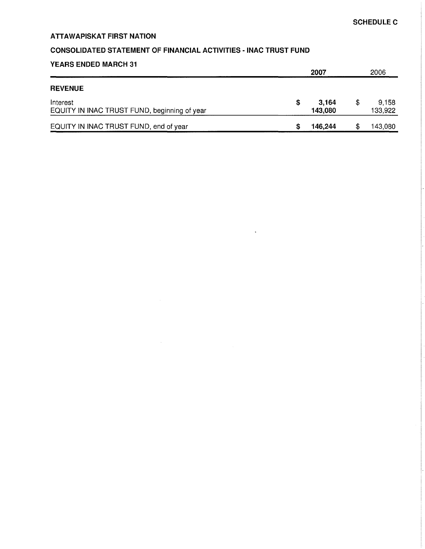# CONSOLIDATED STATEMENT OF FINANCIAL ACTIVITIES - INAC TRUST FUND

# YEARS ENDED MARCH 31

|                                                          | 2007 |                  | 2006                   |  |
|----------------------------------------------------------|------|------------------|------------------------|--|
| <b>REVENUE</b>                                           |      |                  |                        |  |
| Interest<br>EQUITY IN INAC TRUST FUND, beginning of year |      | 3.164<br>143,080 | \$<br>9.158<br>133,922 |  |
| EQUITY IN INAC TRUST FUND, end of year                   |      | 146,244          | \$<br>143,080          |  |

 $\ddot{\phantom{a}}$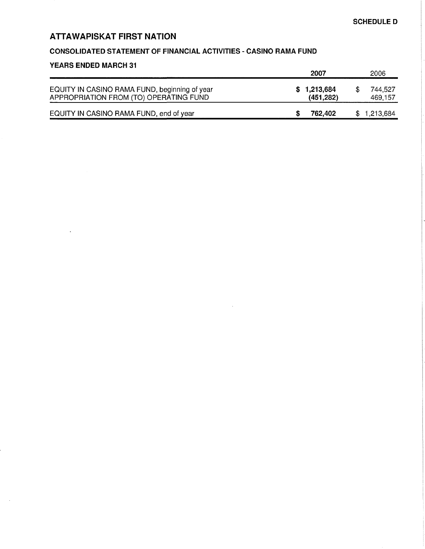# CONSOLIDATED STATEMENT OF FINANCIAL ACTIVITIES - CASINO RAMA FUND

#### YEARS ENDED MARCH 31 2007 2006 EQUITY IN CASINO RAMA FUND, beginning of year APPROPRIATION FROM (TO) OPERATING FUND \$ 1,213,684 \$ 744,527<br>(451,282) 469,157  $(451,282)$ EQUITY IN CASINO RAMA FUND, end of year **\$ 762,402** \$ 1,213,684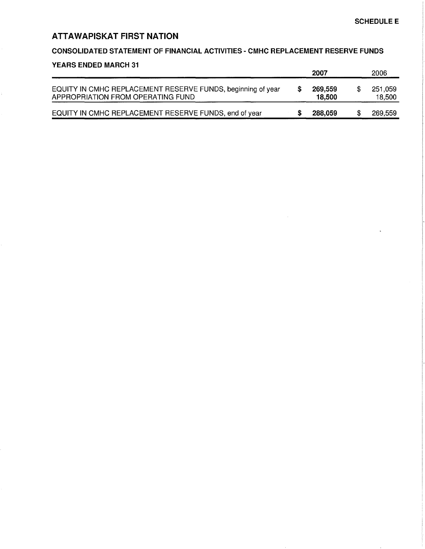## CONSOLIDATED STATEMENT OF FINANCIAL ACTIVITIES - CMHC REPLACEMENT RESERVE FUNDS

### YEARS ENDED MARCH 31

|                                                                                                  | 2007              | 2006              |
|--------------------------------------------------------------------------------------------------|-------------------|-------------------|
| EQUITY IN CMHC REPLACEMENT RESERVE FUNDS, beginning of year<br>APPROPRIATION FROM OPERATING FUND | 269,559<br>18.500 | 251,059<br>18,500 |
| EQUITY IN CMHC REPLACEMENT RESERVE FUNDS, end of year                                            | 288,059           | 269,559           |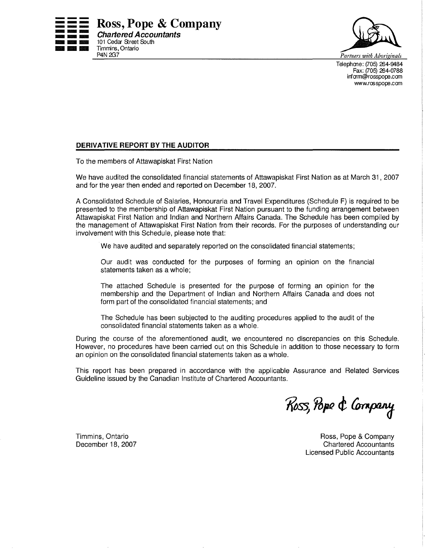



Telephone: (705) 264-9484 Fax: (705) 264-0788 inform@rosspope.com www.rosspops.com

# DERIVATIVE REPORT BY THE AUDITOR

To the members of Attawapiskat First Nation

We have audited the consolidated financial statements of Attawapiskat First Nation as at March 31, 2007 and for the year then ended and reported on December 18, 2007.

A Consolidated Schedule of Salaries, Honouraria and Travel Expenditures (Schedule F) is required to be presented to the membership of Attawapiskat First Nation pursuant to the funding arrangement between Attawapiskat First Nation and Indian and Northern Affairs Canada. The Schedule has been compiled by the management of Attawapiskat First Nation from their records. For the purposes of understanding our involvement with this Schedule, please note that:

We have audited and separately reported on the consolidated financial statements;

Our audit was conducted for the purposes of forming an opinion on the financial statements taken as a whole;

The attached Schedule is presented for the purpose of forming an opinion for the membership and the Department of Indian and Northern Affairs Canada and does not form part of the consolidated financial statements; and

The Schedule has been subjected to the auditing procedures applied to the audit of the consolidated financial statements taken as a whole.

During the course of the aforementioned audit, we encountered no discrepancies on this Schedule. However, no procedures have been carried out on this Schedule in addition to those necessary to form an opinion on the consolidated financial statements taken as a whole.

This report has been prepared in accordance with the applicable Assurance and Related Services Guideline issued by the Canadian Institute of Chartered Accountants.

Ross, Pope & Company

Timmins, Ontario December 18, 2007

Ross, Pope & Company Chartered Accountants Licensed Public Accountants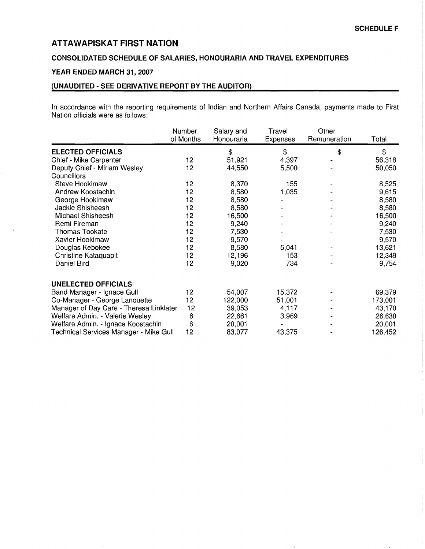# CONSOLIDATED SCHEDULE OF SALARIES, HONOURARIA AND TRAVEL EXPENDITURES

# YEAR ENDED MARCH 31, 2007

# (UNAUDITED - SEE DERIVATIVE REPORT BY THE AUDITOR)

In accordance with the reporting requirements of Indian and Northern Affairs Canada, payments made to First Nation officials were as follows:

|                                         | Number<br>of Months | Salary and<br>Honouraria | Travel<br><b>Expenses</b> | Other<br>Remuneration | Total   |
|-----------------------------------------|---------------------|--------------------------|---------------------------|-----------------------|---------|
| <b>ELECTED OFFICIALS</b>                |                     | \$                       | \$                        | \$                    | \$      |
| Chief - Mike Carpenter                  | 12                  | 51,921                   | 4,397                     |                       | 56,318  |
| Deputy Chief - Miriam Wesley            | 12                  | 44,550                   | 5,500                     |                       | 50,050  |
| Councillors                             |                     |                          |                           |                       |         |
| Steve Hookimaw                          | 12                  | 8,370                    | 155                       |                       | 8,525   |
| Andrew Koostachin                       | 12                  | 8,580                    | 1,035                     |                       | 9,615   |
| George Hookimaw                         | 12                  | 8,580                    |                           |                       | 8,580   |
| Jackie Shisheesh                        | 12                  | 8,580                    |                           |                       | 8,580   |
| Michael Shisheesh                       | 12                  | 16,500                   |                           |                       | 16,500  |
| Remi Fireman                            | 12                  | 9,240                    |                           |                       | 9,240   |
| Thomas Tookate                          | 12                  | 7,530                    |                           |                       | 7,530   |
| Xavier Hookimaw                         | 12                  | 9,570                    |                           |                       | 9,570   |
| Douglas Kebokee                         | 12                  | 8,580                    | 5,041                     |                       | 13,621  |
| Christine Kataquapit                    | 12                  | 12,196                   | 153                       |                       | 12,349  |
| Daniel Bird                             | 12                  | 9,020                    | 734                       |                       | 9,754   |
| <b>UNELECTED OFFICIALS</b>              |                     |                          |                           |                       |         |
| Band Manager - Ignace Gull              | 12                  | 54,007                   | 15,372                    |                       | 69,379  |
| Co-Manager - George Lanouette           | 12                  | 122,000                  | 51,001                    |                       | 173,001 |
| Manager of Day Care - Theresa Linklater | 12                  | 39,053                   | 4,117                     |                       | 43,170  |
| Welfare Admin. - Valerie Wesley         | 6                   | 22,661                   | 3,969                     |                       | 26,630  |
| Welfare Admin. - Ignace Koostachin      | 6                   | 20,001                   |                           |                       | 20,001  |
| Technical Services Manager - Mike Gull  | 12                  | 83,077                   | 43,375                    |                       | 126,452 |